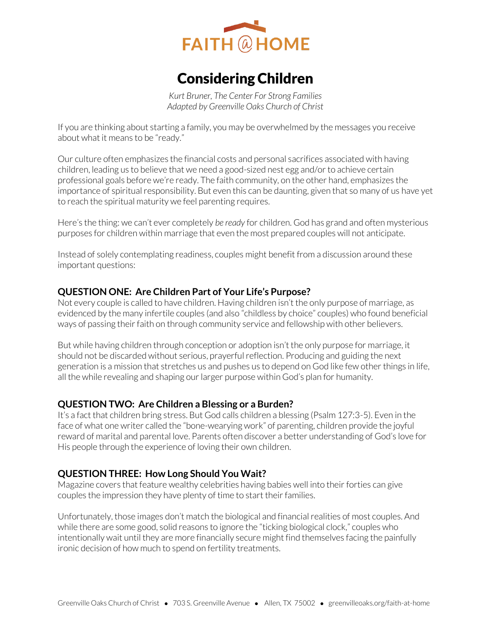

# Considering Children

*Kurt Bruner, The Center For Strong Families Adapted by Greenville Oaks Church of Christ* 

If you are thinking about starting a family, you may be overwhelmed by the messages you receive about what it means to be "ready."

Our culture often emphasizes the financial costs and personal sacrifices associated with having children, leading us to believe that we need a good-sized nest egg and/or to achieve certain professional goals before we're ready. The faith community, on the other hand, emphasizes the importance of spiritual responsibility. But even this can be daunting, given that so many of us have yet to reach the spiritual maturity we feel parenting requires.

Here's the thing: we can't ever completely *be ready* for children. God has grand and often mysterious purposes for children within marriage that even the most prepared couples will not anticipate.

Instead of solely contemplating readiness, couples might benefit from a discussion around these important questions:

### **QUESTION ONE: Are Children Part of Your Life's Purpose?**

Not every couple is called to have children. Having children isn't the only purpose of marriage, as evidenced by the many infertile couples (and also "childless by choice" couples) who found beneficial ways of passing their faith on through community service and fellowship with other believers.

But while having children through conception or adoption isn't the only purpose for marriage, it should not be discarded without serious, prayerful reflection. Producing and guiding the next generation is a mission that stretches us and pushes us to depend on God like few other things in life, all the while revealing and shaping our larger purpose within God's plan for humanity.

### **QUESTION TWO: Are Children a Blessing or a Burden?**

It's a fact that children bring stress. But God calls children a blessing (Psalm 127:3-5). Even in the face of what one writer called the "bone-wearying work" of parenting, children provide the joyful reward of marital and parental love. Parents often discover a better understanding of God's love for His people through the experience of loving their own children.

### **QUESTION THREE: How Long Should You Wait?**

Magazine covers that feature wealthy celebrities having babies well into their forties can give couples the impression they have plenty of time to start their families.

Unfortunately, those images don't match the biological and financial realities of most couples. And while there are some good, solid reasons to ignore the "ticking biological clock," couples who intentionally wait until they are more financially secure might find themselves facing the painfully ironic decision of how much to spend on fertility treatments.